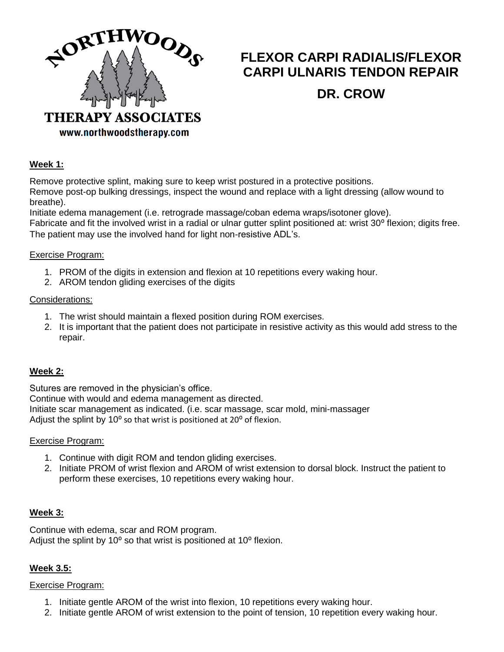

# **FLEXOR CARPI RADIALIS/FLEXOR CARPI ULNARIS TENDON REPAIR**

# **DR. CROW**

www.northwoodstherapy.com

# **Week 1:**

Remove protective splint, making sure to keep wrist postured in a protective positions. Remove post-op bulking dressings, inspect the wound and replace with a light dressing (allow wound to breathe).

Initiate edema management (i.e. retrograde massage/coban edema wraps/isotoner glove).

Fabricate and fit the involved wrist in a radial or ulnar gutter splint positioned at: wrist 30° flexion; digits free. The patient may use the involved hand for light non-resistive ADL's.

## Exercise Program:

- 1. PROM of the digits in extension and flexion at 10 repetitions every waking hour.
- 2. AROM tendon gliding exercises of the digits

## Considerations:

- 1. The wrist should maintain a flexed position during ROM exercises.
- 2. It is important that the patient does not participate in resistive activity as this would add stress to the repair.

# **Week 2:**

Sutures are removed in the physician's office.

Continue with would and edema management as directed.

Initiate scar management as indicated. (i.e. scar massage, scar mold, mini-massager

Adjust the splint by  $10^{\circ}$  so that wrist is positioned at  $20^{\circ}$  of flexion.

# Exercise Program:

- 1. Continue with digit ROM and tendon gliding exercises.
- 2. Initiate PROM of wrist flexion and AROM of wrist extension to dorsal block. Instruct the patient to perform these exercises, 10 repetitions every waking hour.

# **Week 3:**

Continue with edema, scar and ROM program. Adjust the splint by  $10^{\circ}$  so that wrist is positioned at  $10^{\circ}$  flexion.

# **Week 3.5:**

# Exercise Program:

- 1. Initiate gentle AROM of the wrist into flexion, 10 repetitions every waking hour.
- 2. Initiate gentle AROM of wrist extension to the point of tension, 10 repetition every waking hour.